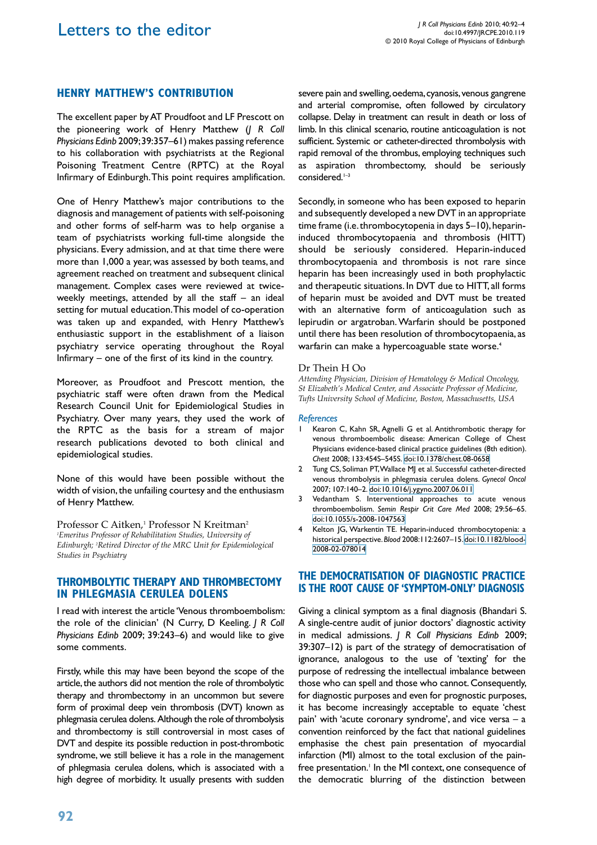# **henry matthew's contribution**

The excellent paper by AT Proudfoot and LF Prescott on the pioneering work of Henry Matthew (*J R Coll Physicians Edinb* 2009; 39:357–61) makes passing reference to his collaboration with psychiatrists at the Regional Poisoning Treatment Centre (RPTC) at the Royal Infirmary of Edinburgh. This point requires amplification.

One of Henry Matthew's major contributions to the diagnosis and management of patients with self-poisoning and other forms of self-harm was to help organise a team of psychiatrists working full-time alongside the physicians. Every admission, and at that time there were more than 1,000 a year, was assessed by both teams, and agreement reached on treatment and subsequent clinical management. Complex cases were reviewed at twiceweekly meetings, attended by all the staff – an ideal setting for mutual education. This model of co-operation was taken up and expanded, with Henry Matthew's enthusiastic support in the establishment of a liaison psychiatry service operating throughout the Royal Infirmary – one of the first of its kind in the country.

Moreover, as Proudfoot and Prescott mention, the psychiatric staff were often drawn from the Medical Research Council Unit for Epidemiological Studies in Psychiatry. Over many years, they used the work of the RPTC as the basis for a stream of major research publications devoted to both clinical and epidemiological studies.

None of this would have been possible without the width of vision, the unfailing courtesy and the enthusiasm of Henry Matthew.

Professor C Aitken,<sup>1</sup> Professor N Kreitman<sup>2</sup> *1 Emeritus Professor of Rehabilitation Studies, University of Edinburgh; 2 Retired Director of the MRC Unit for Epidemiological Studies in Psychiatry*

### **Thrombolytic Therapy and Thrombectomy in Phlegmasia Cerulea Dolens**

I read with interest the article 'Venous thromboembolism: the role of the clinician' (N Curry, D Keeling. *J R Coll Physicians Edinb* 2009; 39:243–6) and would like to give some comments.

Firstly, while this may have been beyond the scope of the article, the authors did not mention the role of thrombolytic therapy and thrombectomy in an uncommon but severe form of proximal deep vein thrombosis (DVT) known as phlegmasia cerulea dolens. Although the role of thrombolysis and thrombectomy is still controversial in most cases of DVT and despite its possible reduction in post-thrombotic syndrome, we still believe it has a role in the management of phlegmasia cerulea dolens, which is associated with a high degree of morbidity. It usually presents with sudden

severe pain and swelling, oedema, cyanosis, venous gangrene and arterial compromise, often followed by circulatory collapse. Delay in treatment can result in death or loss of limb. In this clinical scenario, routine anticoagulation is not sufficient. Systemic or catheter-directed thrombolysis with rapid removal of the thrombus, employing techniques such as aspiration thrombectomy, should be seriously considered.<sup>1-3</sup>

Secondly, in someone who has been exposed to heparin and subsequently developed a new DVT in an appropriate time frame (i.e. thrombocytopenia in days 5–10), heparininduced thrombocytopaenia and thrombosis (HITT) should be seriously considered. Heparin-induced thrombocytopaenia and thrombosis is not rare since heparin has been increasingly used in both prophylactic and therapeutic situations. In DVT due to HITT, all forms of heparin must be avoided and DVT must be treated with an alternative form of anticoagulation such as lepirudin or argatroban. Warfarin should be postponed until there has been resolution of thrombocytopaenia, as warfarin can make a hypercoaguable state worse.<sup>4</sup>

#### Dr Thein H Oo

*Attending Physician, Division of Hematology & Medical Oncology, St Elizabeth's Medical Center, and Associate Professor of Medicine, Tufts University School of Medicine, Boston, Massachusetts, USA*

#### *References*

- 1 Kearon C, Kahn SR, Agnelli G et al. Antithrombotic therapy for venous thromboembolic disease: American College of Chest Physicians evidence-based clinical practice guidelines (8th edition). *Chest* 2008; 133:454S–545S. [doi:10.1378/chest.08-0658](http://dx.doi.org/10.1378/chest.08-0658)
- 2 Tung CS, Soliman PT, Wallace MJ et al. Successful catheter-directed venous thrombolysis in phlegmasia cerulea dolens. *Gynecol Oncol*  2007; 107:140–2. [doi:10.1016/j.ygyno.2007.06.011](http://dx.doi.org/10.1016/j.ygyno.2007.06.011)
- Vedantham S. Interventional approaches to acute venous thromboembolism. *Semin Respir Crit Care Med* 2008; 29:56–65. [doi:10.1055/s-2008-1047563](http://dx.doi.org/10.1055/s-2008-1047563)
- 4 Kelton JG, Warkentin TE. Heparin-induced thrombocytopenia: a historical perspective. *Blood* 2008:112:2607–15. [doi:10.1182/blood-](http://dx.doi.org/10.1182/blood-2008-02-078014)[2008-02-078014](http://dx.doi.org/10.1182/blood-2008-02-078014)

### **The democratisation of diagnostic practice is the root cause of 'symptom-only' diagnosis**

Giving a clinical symptom as a final diagnosis (Bhandari S. A single-centre audit of junior doctors' diagnostic activity in medical admissions. *J R Coll Physicians Edinb* 2009; 39:307–12) is part of the strategy of democratisation of ignorance, analogous to the use of 'texting' for the purpose of redressing the intellectual imbalance between those who can spell and those who cannot. Consequently, for diagnostic purposes and even for prognostic purposes, it has become increasingly acceptable to equate 'chest pain' with 'acute coronary syndrome', and vice versa – a convention reinforced by the fact that national guidelines emphasise the chest pain presentation of myocardial infarction (MI) almost to the total exclusion of the painfree presentation.<sup>1</sup> In the MI context, one consequence of the democratic blurring of the distinction between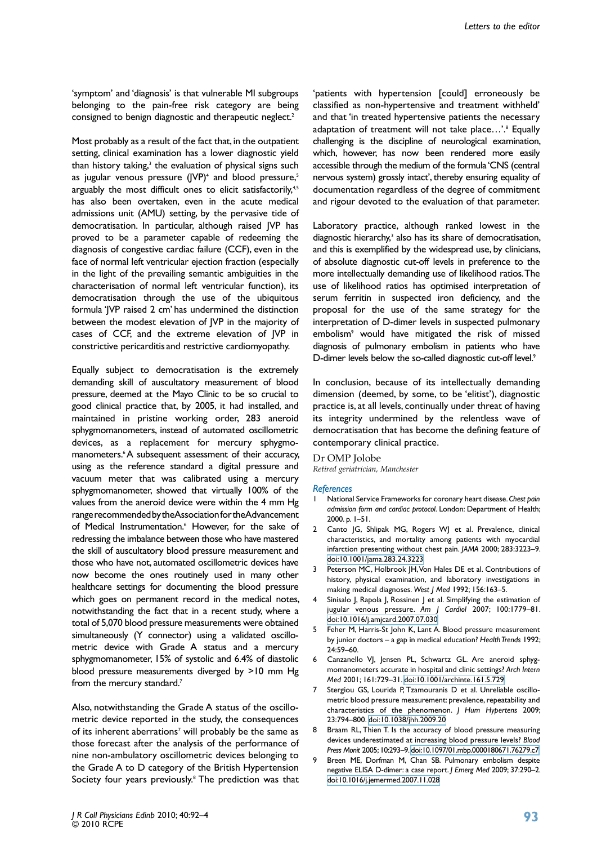'symptom' and 'diagnosis' is that vulnerable MI subgroups belonging to the pain-free risk category are being consigned to benign diagnostic and therapeutic neglect.<sup>2</sup>

Most probably as a result of the fact that, in the outpatient setting, clinical examination has a lower diagnostic yield than history taking,<sup>3</sup> the evaluation of physical signs such as jugular venous pressure (JVP)<sup>4</sup> and blood pressure,<sup>5</sup> arguably the most difficult ones to elicit satisfactorily,<sup>4,5</sup> has also been overtaken, even in the acute medical admissions unit (AMU) setting, by the pervasive tide of democratisation. In particular, although raised JVP has proved to be a parameter capable of redeeming the diagnosis of congestive cardiac failure (CCF), even in the face of normal left ventricular ejection fraction (especially in the light of the prevailing semantic ambiguities in the characterisation of normal left ventricular function), its democratisation through the use of the ubiquitous formula 'JVP raised 2 cm' has undermined the distinction between the modest elevation of JVP in the majority of cases of CCF, and the extreme elevation of JVP in constrictive pericarditis and restrictive cardiomyopathy.

Equally subject to democratisation is the extremely demanding skill of auscultatory measurement of blood pressure, deemed at the Mayo Clinic to be so crucial to good clinical practice that, by 2005, it had installed, and maintained in pristine working order, 283 aneroid sphygmomanometers, instead of automated oscillometric devices, as a replacement for mercury sphygmomanometers.<sup>6</sup> A subsequent assessment of their accuracy, using as the reference standard a digital pressure and vacuum meter that was calibrated using a mercury sphygmomanometer, showed that virtually 100% of the values from the aneroid device were within the 4 mm Hg range recommended by the Association for the Advancement of Medical Instrumentation.<sup>6</sup> However, for the sake of redressing the imbalance between those who have mastered the skill of auscultatory blood pressure measurement and those who have not, automated oscillometric devices have now become the ones routinely used in many other healthcare settings for documenting the blood pressure which goes on permanent record in the medical notes, notwithstanding the fact that in a recent study, where a total of 5,070 blood pressure measurements were obtained simultaneously (Y connector) using a validated oscillometric device with Grade A status and a mercury sphygmomanometer, 15% of systolic and 6.4% of diastolic blood pressure measurements diverged by >10 mm Hg from the mercury standard.<sup>7</sup>

Also, notwithstanding the Grade A status of the oscillometric device reported in the study, the consequences of its inherent aberrations<sup>7</sup> will probably be the same as those forecast after the analysis of the performance of nine non-ambulatory oscillometric devices belonging to the Grade A to D category of the British Hypertension Society four years previously.<sup>8</sup> The prediction was that

'patients with hypertension [could] erroneously be classified as non-hypertensive and treatment withheld' and that 'in treated hypertensive patients the necessary adaptation of treatment will not take place...'.<sup>8</sup> Equally challenging is the discipline of neurological examination, which, however, has now been rendered more easily accessible through the medium of the formula 'CNS (central nervous system) grossly intact', thereby ensuring equality of documentation regardless of the degree of commitment and rigour devoted to the evaluation of that parameter.

Laboratory practice, although ranked lowest in the diagnostic hierarchy,<sup>3</sup> also has its share of democratisation, and this is exemplified by the widespread use, by clinicians, of absolute diagnostic cut-off levels in preference to the more intellectually demanding use of likelihood ratios. The use of likelihood ratios has optimised interpretation of serum ferritin in suspected iron deficiency, and the proposal for the use of the same strategy for the interpretation of D-dimer levels in suspected pulmonary embolism9 would have mitigated the risk of missed diagnosis of pulmonary embolism in patients who have D-dimer levels below the so-called diagnostic cut-off level.<sup>9</sup>

In conclusion, because of its intellectually demanding dimension (deemed, by some, to be 'elitist'), diagnostic practice is, at all levels, continually under threat of having its integrity undermined by the relentless wave of democratisation that has become the defining feature of contemporary clinical practice.

# Dr OMP Jolobe

*Retired geriatrician, Manchester*

#### *References*

- 1 National Service Frameworks for coronary heart disease. *Chest pain admission form and cardiac protocol*. London: Department of Health; 2000. p. 1–51.
- 2 Canto JG, Shlipak MG, Rogers WJ et al. Prevalence, clinical characteristics, and mortality among patients with myocardial infarction presenting without chest pain. *JAMA* 2000; 283:3223–9. [doi:10.1001/jama.283.24.3223](http://dx.doi.org/10.1001/jama.283.24.3223)
- 3 Peterson MC, Holbrook JH, Von Hales DE et al. Contributions of history, physical examination, and laboratory investigations in making medical diagnoses. *West J Med* 1992; 156:163–5.
- Sinisalo J, Rapola J, Rossinen J et al. Simplifying the estimation of jugular venous pressure. *Am J Cardiol* 2007; 100:1779–81. [doi:10.1016/j.amjcard.2007.07.030](http://dx.doi.org/10.1016/j.amjcard.2007.07.030)
- 5 Feher M, Harris-St John K, Lant A. Blood pressure measurement by junior doctors – a gap in medical education? *Health Trends* 1992; 24:59–60.
- 6 Canzanello VJ, Jensen PL, Schwartz GL. Are aneroid sphygmomanometers accurate in hospital and clinic settings? *Arch Intern Med* 2001; 161:729–31. [doi:10.1001/archinte.161.5.729](http://dx.doi.org/10.1001/archinte.161.5.729)
- 7 Stergiou GS, Lourida P, Tzamouranis D et al. Unreliable oscillometric blood pressure measurement: prevalence, repeatability and characteristics of the phenomenon. *J Hum Hypertens* 2009; 23:794–800. [doi:10.1038/jhh.2009.20](http://dx.doi.org/10.1038/jhh.2009.20)
- 8 Braam RL, Thien T. Is the accuracy of blood pressure measuring devices underestimated at increasing blood pressure levels? *Blood Press Monit* 2005; 10:293–9. [doi:10.1097/01.mbp.0000180671.76279.c7](http://dx.doi.org/10.1097/01.mbp.0000180671.76279.c7)
- Breen ME, Dorfman M, Chan SB. Pulmonary embolism despite negative ELISA D-dimer: a case report. *J Emerg Med* 2009; 37:290–2. [doi:10.1016/j.jemermed.2007.11.028](http://dx.doi.org/10.1016/j.jemermed.2007.11.028)